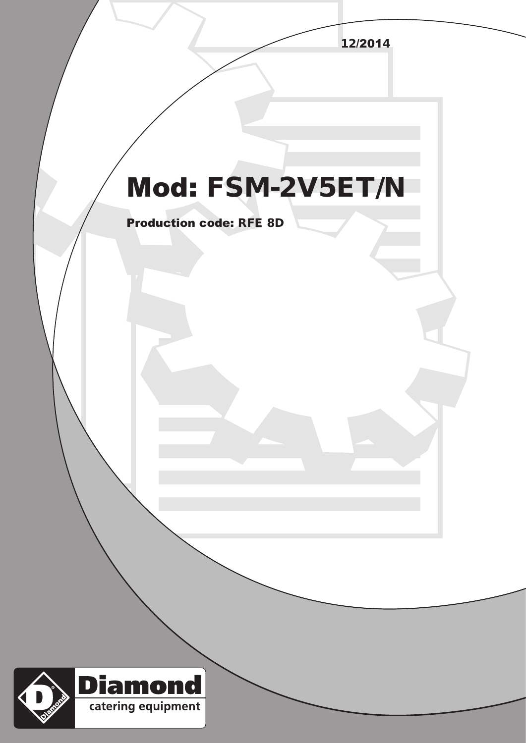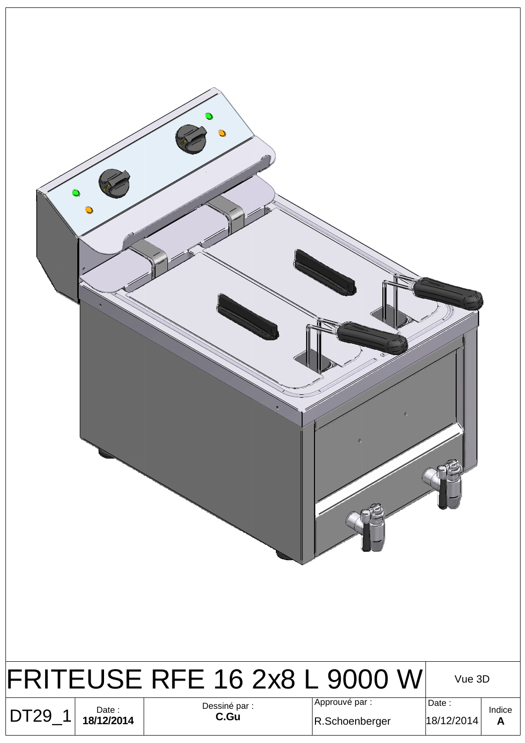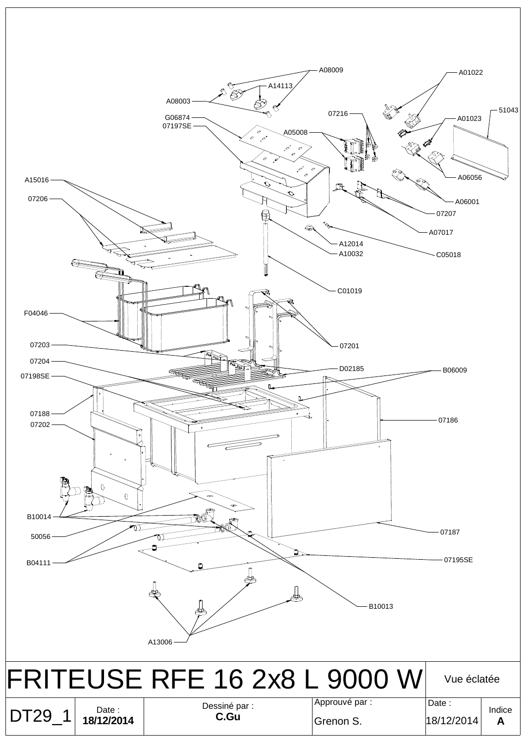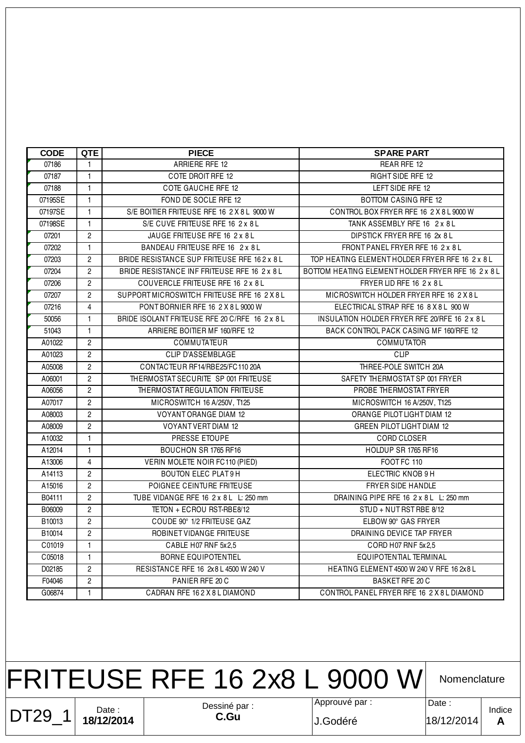| <b>CODE</b> | QTE            | <b>PIECE</b>                                   | <b>SPARE PART</b>                                    |
|-------------|----------------|------------------------------------------------|------------------------------------------------------|
| 07186       | $\mathbf{1}$   | ARRIERE RFE 12                                 | REAR RFE 12                                          |
| 07187       | $\mathbf{1}$   | COTE DROIT RFE 12                              | RIGHT SIDE RFE 12                                    |
| 07188       | $\mathbf{1}$   | <b>COTE GAUCHE RFE 12</b>                      | LEFT SIDE RFE 12                                     |
| 07195SE     | $\mathbf{1}$   | FOND DE SOCLE RFE 12                           | <b>BOTTOM CASING RFE 12</b>                          |
| 07197SE     | $\mathbf{1}$   | S/E BOITIER FRITEUSE RFE 16 2 X 8 L 9000 W     | CONTROL BOX FRYER RFE 16 2 X 8 L 9000 W              |
| 07198SE     | $\mathbf{1}$   | S/E CUVE FRITEUSE RFE 16 2 x 8 L               | TANK ASSEMBLY RFE 16 2 x 8 L                         |
| 07201       | $\overline{c}$ | JAUGE FRITEUSE RFE 16 2 x 8 L                  | DIPSTICK FRYER RFE 16 2x 8 L                         |
| 07202       | $\mathbf{1}$   | BANDEAU FRITEUSE RFE 16 2 x 8 L                | FRONT PANEL FRYER RFE 16 2 x 8 L                     |
| 07203       | $\overline{2}$ | BRIDE RESISTANCE SUP FRITEUSE RFE 162 x 8L     | TOP HEATING ELEMENT HOLDER FRYER RFE 16 2 x 8 L      |
| 07204       | $\overline{2}$ | BRIDE RESISTANCE INF FRITEUSE RFE 16 2 x 8 L   | BOTTOM HEATING ELEMENT HOLDER FRYER RFE 16 2 x 8 L   |
| 07206       | $\mathbf{2}$   | COUVERCLE FRITEUSE RFE 16 2 x 8 L              | FRYER LID RFE 16 2 x 8 L                             |
| 07207       | $\overline{c}$ | SUPPORT MICROSWITCH FRITEUSE RFE 16 2 X 8 L    | MICROSWITCH HOLDER FRYER RFE 16 2 X 8 L              |
| 07216       | 4              | PONT BORNIER RFE 16 2 X 8 L 9000 W             | ELECTRICAL STRAP RFE 16 8 X 8 L 900 W                |
| 50056       | $\mathbf{1}$   | BRIDE ISOLANT FRITEUSE RFE 20 C/RFE 16 2 x 8 L | <b>INSULATION HOLDER FRYER RFE 20/RFE 16 2 x 8 L</b> |
| 51043       | $\mathbf{1}$   | ARRIERE BOITIER MF 160/RFE 12                  | BACK CONTROL PACK CASING MF 160/RFE 12               |
| A01022      | $\overline{2}$ | COMMUTATEUR                                    | <b>COMMUTATOR</b>                                    |
| A01023      | $\overline{2}$ | <b>CLIP D'ASSEMBLAGE</b>                       | <b>CLIP</b>                                          |
| A05008      | $\overline{2}$ | CONTACTEUR RF14/RBE25/FC110 20A                | THREE-POLE SWITCH 20A                                |
| A06001      | $\overline{2}$ | THERMOSTAT SECURITE SP 001 FRITEUSE            | SAFETY THERMOSTAT SP 001 FRYER                       |
| A06056      | $\overline{c}$ | THERMOSTAT REGULATION FRITEUSE                 | PROBE THERMOSTAT FRYER                               |
| A07017      | $\overline{2}$ | MICROSWITCH 16 A/250V, T125                    | MICROSWITCH 16 A/250V, T125                          |
| A08003      | 2              | VOYANT ORANGE DIAM 12                          | ORANGE PILOT LIGHT DIAM 12                           |
| A08009      | $\overline{c}$ | <b>VOYANT VERT DIAM 12</b>                     | GREEN PILOT LIGHT DIAM 12                            |
| A10032      | $\mathbf{1}$   | PRESSE ETOUPE                                  | CORD CLOSER                                          |
| A12014      | $\mathbf{1}$   | BOUCHON SR 1765 RF16                           | HOLDUP SR 1765 RF16                                  |
| A13006      | 4              | VERIN MOLETE NOIR FC110 (PIED)                 | FOOT FC 110                                          |
| A14113      | $\overline{2}$ | <b>BOUTON ELEC PLAT9H</b>                      | ELECTRIC KNOB 9 H                                    |
| A15016      | $\overline{2}$ | POIGNEE CEINTURE FRITEUSE                      | FRYER SIDE HANDLE                                    |
| B04111      | $\overline{2}$ | TUBE VIDANGE RFE 16 2 x 8 L L: 250 mm          | DRAINING PIPE RFE 16 2 x 8 L L: 250 mm               |
| B06009      | $\overline{c}$ | TETON + ECROU RST-RBE8/12                      | STUD + NUT RST RBE 8/12                              |
| B10013      | $\overline{c}$ | COUDE 90° 1/2 FRITEUSE GAZ                     | ELBOW 90° GAS FRYER                                  |
| B10014      | $\overline{c}$ | ROBINET VIDANGE FRITEUSE                       | DRAINING DEVICE TAP FRYER                            |
| C01019      | $\mathbf{1}$   | CABLE H07 RNF 5x2,5                            | CORD H07 RNF 5x2,5                                   |
| C05018      | 1.             | <b>BORNE EQUIPOTENTIEL</b>                     | EQUIPOTENTIAL TERMINAL                               |
| D02185      | $\overline{2}$ | RESISTANCE RFE 16 2x8 L 4500 W 240 V           | HEATING ELEMENT 4500 W 240 V RFE 16 2x 8 L           |
| F04046      | $\overline{2}$ | PANIER RFE 20 C                                | BASKET RFE 20 C                                      |
| G06874      | 1.             | CADRAN RFE 162X8LDIAMOND                       | CONTROL PANEL FRYER RFE 16 2 X 8 L DIAMOND           |
|             |                |                                                |                                                      |

Date : **18/12/2014** Dessiné par : **C.Gu** Approuvé par : FRITEUSE RFE 16 2x8 L 9000 W Date : DT29\_1 **Nomenclature** J.Godéré 18/12/2014

Indice **A**